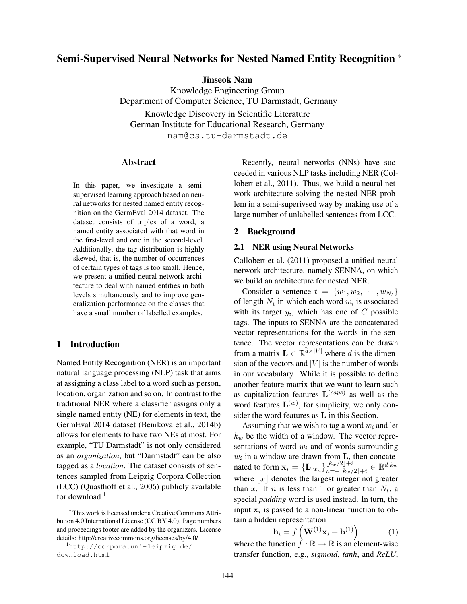# Semi-Supervised Neural Networks for Nested Named Entity Recognition <sup>∗</sup>

Jinseok Nam

Knowledge Engineering Group Department of Computer Science, TU Darmstadt, Germany Knowledge Discovery in Scientific Literature German Institute for Educational Research, Germany nam@cs.tu-darmstadt.de

#### Abstract

In this paper, we investigate a semisupervised learning approach based on neural networks for nested named entity recognition on the GermEval 2014 dataset. The dataset consists of triples of a word, a named entity associated with that word in the first-level and one in the second-level. Additionally, the tag distribution is highly skewed, that is, the number of occurrences of certain types of tags is too small. Hence, we present a unified neural network architecture to deal with named entities in both levels simultaneously and to improve generalization performance on the classes that have a small number of labelled examples.

## 1 Introduction

Named Entity Recognition (NER) is an important natural language processing (NLP) task that aims at assigning a class label to a word such as person, location, organization and so on. In contrast to the traditional NER where a classifier assigns only a single named entity (NE) for elements in text, the GermEval 2014 dataset (Benikova et al., 2014b) allows for elements to have two NEs at most. For example, "TU Darmstadt" is not only considered as an *organization*, but "Darmstadt" can be also tagged as a *location*. The dataset consists of sentences sampled from Leipzig Corpora Collection (LCC) (Quasthoff et al., 2006) publicly available for download. $<sup>1</sup>$ </sup>

Recently, neural networks (NNs) have succeeded in various NLP tasks including NER (Collobert et al., 2011). Thus, we build a neural network architecture solving the nested NER problem in a semi-superivsed way by making use of a large number of unlabelled sentences from LCC.

### 2 Background

### 2.1 NER using Neural Networks

Collobert et al. (2011) proposed a unified neural network architecture, namely SENNA, on which we build an architecture for nested NER.

Consider a sentence  $t = \{w_1, w_2, \cdots, w_{N_t}\}\$ of length  $N_t$  in which each word  $w_i$  is associated with its target  $y_i$ , which has one of C possible tags. The inputs to SENNA are the concatenated vector representations for the words in the sentence. The vector representations can be drawn from a matrix  $\mathbf{L} \in \mathbb{R}^{\bar{d} \times |V|}$  where d is the dimension of the vectors and  $|V|$  is the number of words in our vocabulary. While it is possible to define another feature matrix that we want to learn such as capitalization features  $\mathbf{L}^{(caps)}$  as well as the word features  $\mathbf{L}^{(w)}$ , for simplicity, we only consider the word features as L in this Section.

Assuming that we wish to tag a word  $w_i$  and let  $k_w$  be the width of a window. The vector representations of word  $w_i$  and of words surrounding  $w_i$  in a window are drawn from **L**, then concatenated to form  $\mathbf{x}_i = {\mathbf{L}_{w_i}}_{n=1}^{\lfloor k_w/2 \rfloor + i}$  $\frac{\lfloor k_w/2 \rfloor + i}{n = -\lfloor k_w/2 \rfloor + i} \in \mathbb{R}^{d \cdot k_w}$ where  $|x|$  denotes the largest integer not greater than x. If n is less than 1 or greater than  $N_t$ , a special *padding* word is used instead. In turn, the input  $x_i$  is passed to a non-linear function to obtain a hidden representation

$$
\mathbf{h}_{i} = f\left(\mathbf{W}^{(1)}\mathbf{x}_{i} + \mathbf{b}^{(1)}\right) \tag{1}
$$

where the function  $f : \mathbb{R} \to \mathbb{R}$  is an element-wise transfer function, e.g., *sigmoid*, *tanh*, and *ReLU*,

<sup>∗</sup>This work is licensed under a Creative Commons Attribution 4.0 International License (CC BY 4.0). Page numbers and proceedings footer are added by the organizers. License details: http://creativecommons.org/licenses/by/4.0/

<sup>1</sup>http://corpora.uni-leipzig.de/ download.html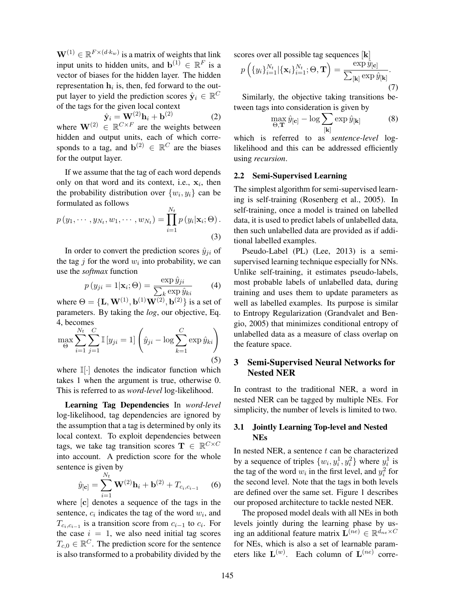$\mathbf{W}^{(1)} \in \mathbb{R}^{F \times (d \cdot k_w)}$  is a matrix of weights that link input units to hidden units, and  $\mathbf{b}^{(1)} \in \mathbb{R}^{F}$  is a vector of biases for the hidden layer. The hidden representation  $h_i$  is, then, fed forward to the output layer to yield the prediction scores  $\hat{\mathbf{y}}_i \in \mathbb{R}^{C}$ of the tags for the given local context

$$
\hat{\mathbf{y}}_i = \mathbf{W}^{(2)} \mathbf{h}_i + \mathbf{b}^{(2)} \tag{2}
$$

where  $\mathbf{W}^{(2)} \in \mathbb{R}^{C \times F}$  are the weights between hidden and output units, each of which corresponds to a tag, and  $\mathbf{b}^{(2)} \in \mathbb{R}^C$  are the biases for the output layer.

If we assume that the tag of each word depends only on that word and its context, i.e.,  $x_i$ , then the probability distribution over  $\{w_i, y_i\}$  can be formulated as follows <sub>NT</sub>

$$
p(y_1,\dots,y_{N_t},w_1,\dots,w_{N_t})=\prod_{i=1}^{N_t}p(y_i|\mathbf{x}_i;\Theta).
$$
\n(3)

In order to convert the prediction scores  $\hat{y}_{ji}$  of the tag  $j$  for the word  $w_i$  into probability, we can use the *softmax* function

$$
p(y_{ji} = 1 | \mathbf{x}_i; \Theta) = \frac{\exp \hat{y}_{ji}}{\sum_k \exp \hat{y}_{ki}} \tag{4}
$$

where  $\Theta = {\mathbf{L}, \mathbf{W}^{(1)}, \mathbf{b}^{(1)}\mathbf{W}^{(2)}, \mathbf{b}^{(2)}\}$  is a set of parameters. By taking the *log*, our objective, Eq. 4, becomes

$$
\max_{\Theta} \sum_{i=1}^{N_t} \sum_{j=1}^{C} \mathbb{I} \left[ y_{ji} = 1 \right] \left( \hat{y}_{ji} - \log \sum_{k=1}^{C} \exp \hat{y}_{ki} \right)
$$
\n(5)

where  $\mathbb{I}[\cdot]$  denotes the indicator function which takes 1 when the argument is true, otherwise 0. This is referred to as *word-level* log-likelihood.

Learning Tag Dependencies In *word-level* log-likelihood, tag dependencies are ignored by the assumption that a tag is determined by only its local context. To exploit dependencies between tags, we take tag transition scores  $\mathbf{T} \in \mathbb{R}^{C \times C}$ into account. A prediction score for the whole sentence is given by

$$
\hat{y}_{[\mathbf{c}]} = \sum_{i=1}^{N_t} \mathbf{W}^{(2)} \mathbf{h}_i + \mathbf{b}^{(2)} + T_{c_i, c_{i-1}} \quad (6)
$$

where [c] denotes a sequence of the tags in the sentence,  $c_i$  indicates the tag of the word  $w_i$ , and  $T_{c_i, c_{i-1}}$  is a transition score from  $c_{i-1}$  to  $c_i$ . For the case  $i = 1$ , we also need initial tag scores  $T_{c,0} \in \mathbb{R}^C$ . The prediction score for the sentence is also transformed to a probability divided by the

scores over all possible tag sequences [k]

$$
p\left(\{y_i\}_{i=1}^{N_t}|\{\mathbf{x}_i\}_{i=1}^{N_t};\Theta,\mathbf{T}\right) = \frac{\exp \hat{y}_{[\mathbf{c}]}}{\sum_{[\mathbf{k}]} \exp \hat{y}_{[\mathbf{k}]}}.\tag{7}
$$

Similarly, the objective taking transitions between tags into consideration is given by

$$
\max_{\Theta, \mathbf{T}} \hat{y}_{[\mathbf{c}]} - \log \sum_{[\mathbf{k}]} \exp \hat{y}_{[\mathbf{k}]} \tag{8}
$$

which is referred to as *sentence-level* loglikelihood and this can be addressed efficiently using *recursion*.

### 2.2 Semi-Supervised Learning

The simplest algorithm for semi-supervised learning is self-training (Rosenberg et al., 2005). In self-training, once a model is trained on labelled data, it is used to predict labels of unlabelled data, then such unlabelled data are provided as if additional labelled examples.

Pseudo-Label (PL) (Lee, 2013) is a semisupervised learning technique especially for NNs. Unlike self-training, it estimates pseudo-labels, most probable labels of unlabelled data, during training and uses them to update parameters as well as labelled examples. Its purpose is similar to Entropy Regularization (Grandvalet and Bengio, 2005) that minimizes conditional entropy of unlabelled data as a measure of class overlap on the feature space.

# 3 Semi-Supervised Neural Networks for Nested NER

In contrast to the traditional NER, a word in nested NER can be tagged by multiple NEs. For simplicity, the number of levels is limited to two.

# 3.1 Jointly Learning Top-level and Nested NEs

In nested NER, a sentence  $t$  can be characterized by a sequence of triples  $\{w_i, y_i^1, y_i^2\}$  where  $y_i^1$  is the tag of the word  $w_i$  in the first level, and  $y_i^2$  for the second level. Note that the tags in both levels are defined over the same set. Figure 1 describes our proposed architecture to tackle nested NER.

The proposed model deals with all NEs in both levels jointly during the learning phase by using an additional feature matrix  $\mathbf{L}^{(ne)} \in \mathbb{R}^{d_{ne} \times C}$ for NEs, which is also a set of learnable parameters like  $\mathbf{L}^{(w)}$ . Each column of  $\mathbf{L}^{(ne)}$  corre-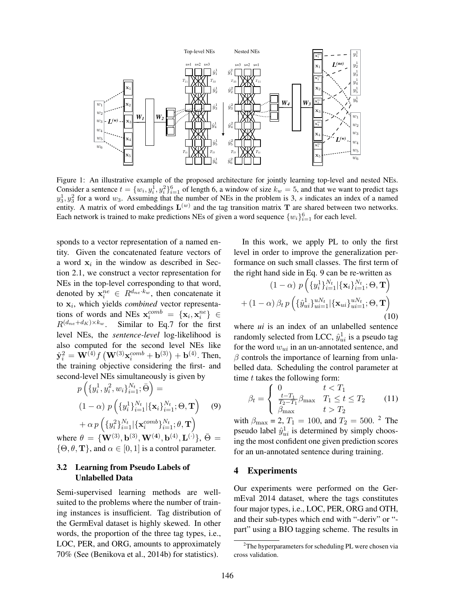

Figure 1: An illustrative example of the proposed architecture for jointly learning top-level and nested NEs. Consider a sentence  $t = \{w_i, y_i^1, y_i^2\}_{i=1}^6$  of length 6, a window of size  $k_w = 5$ , and that we want to predict tags  $y_3^1, y_3^2$  for a word  $w_3$ . Assuming that the number of NEs in the problem is 3, s indicates an index of a named entity. A matrix of word embeddings  $\mathbf{L}^{(w)}$  and the tag transition matrix T are shared between two networks. Each network is trained to make predictions NEs of given a word sequence  $\{w_i\}_{i=1}^6$  for each level.

sponds to a vector representation of a named entity. Given the concatenated feature vectors of a word  $x_i$  in the window as described in Section 2.1, we construct a vector representation for NEs in the top-level corresponding to that word, denoted by  $x_i^{ne} \in R^{d_{ne} \cdot k_w}$ , then concatenate it to  $x_i$ , which yields *combined* vector representations of words and NEs  $\mathbf{x}_i^{comb} = {\mathbf{x}_i, \mathbf{x}_i^{ne}} \in {\mathbb{R}}$  $R^{(d_{ne}+d_K)\times k_w}$ . Similar to Eq.7 for the first level NEs, the *sentence-level* log-likelihood is also computed for the second level NEs like  $\hat{\mathbf{y}}_i^2 = \mathbf{W}^{(4)} f\left(\mathbf{W}^{(3)} \mathbf{x}_i^{comb} + \mathbf{b}^{(3)}\right) + \mathbf{b}^{(4)}$ . Then, the training objective considering the first- and second-level NEs simultaneously is given by

$$
p\left(\{y_i^1, y_i^2, w_i\}_{i=1}^{N_t}; \bar{\Theta}\right) =
$$
  
(1 - \alpha) p\left(\{y\_i^1\}\_{i=1}^{N\_t} | \{\mathbf{x}\_i\}\_{i=1}^{N\_t}; \Theta, \mathbf{T}\right) (9)  

 ${}+\alpha\,p\,\Big(\{y_i^2\}_{i=1}^{N_t}|\{\mathbf{x}_{i}^{comb}\}_{i=1}^{N_t};\theta,\mathbf{T}\Big)$ where  $\theta = {\bf{W}}^{(3)}, {\bf{b}}^{(3)}, {\bf{W}}^{(4)}, {\bf{b}}^{(4)}, {\bf{L}}^{(\cdot)}\}, \bar{\Theta} =$  $\{\Theta, \theta, \mathbf{T}\}\$ , and  $\alpha \in [0, 1]$  is a control parameter.

# 3.2 Learning from Pseudo Labels of Unlabelled Data

Semi-supervised learning methods are wellsuited to the problems where the number of training instances is insufficient. Tag distribution of the GermEval dataset is highly skewed. In other words, the proportion of the three tag types, i.e., LOC, PER, and ORG, amounts to approximately 70% (See (Benikova et al., 2014b) for statistics).

In this work, we apply PL to only the first level in order to improve the generalization performance on such small classes. The first term of the right hand side in Eq. 9 can be re-written as

$$
(1 - \alpha) p\left(\{y_i^1\}_{i=1}^{N_t} | \{\mathbf{x}_i\}_{i=1}^{N_t}; \Theta, \mathbf{T}\right) + (1 - \alpha) \beta_t p\left(\{\hat{y}_{ui}^1\}_{ui=1}^{uN_t} | \{\mathbf{x}_{ui}\}_{ui=1}^{uN_t}; \Theta, \mathbf{T}\right) (10)
$$

where *ui* is an index of an unlabelled sentence randomly selected from LCC,  $\hat{y}_{ui}^1$  is a pseudo tag for the word  $w_{ui}$  in an un-annotated sentence, and  $\beta$  controls the importance of learning from unlabelled data. Scheduling the control parameter at time  $t$  takes the following form:

$$
\beta_t = \begin{cases} 0 & t < T_1 \\ \frac{t - T_1}{T_2 - T_1} \beta_{\text{max}} & T_1 \le t \le T_2 \\ \beta_{\text{max}} & t > T_2 \end{cases}
$$
 (11)

with  $\beta_{\text{max}} = 2, T_1 = 100$ , and  $T_2 = 500$ . <sup>2</sup> The pseudo label  $\hat{y}_{ui}^1$  is determined by simply choosing the most confident one given prediction scores for an un-annotated sentence during training.

#### 4 Experiments

Our experiments were performed on the GermEval 2014 dataset, where the tags constitutes four major types, i.e., LOC, PER, ORG and OTH, and their sub-types which end with "-deriv" or " part" using a BIO tagging scheme. The results in

 $2$ The hyperparameters for scheduling PL were chosen via cross validation.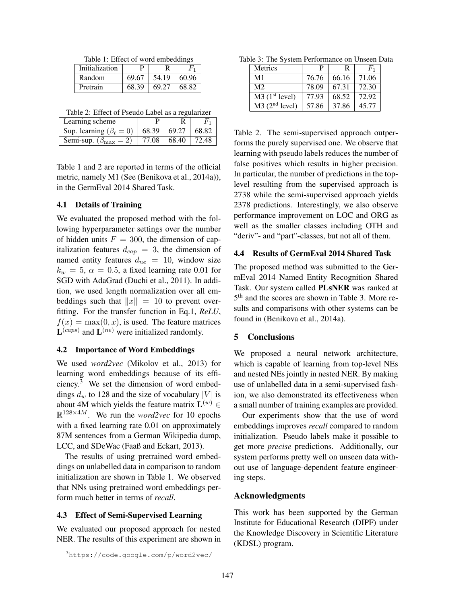Table 1: Effect of word embeddings

| Initialization | P     |       |       |
|----------------|-------|-------|-------|
| Random         | 69.67 | 54.19 | 60.96 |
| Pretrain       | 68.39 | 69.27 | 68.82 |

Table 2: Effect of Pseudo Label as a regularizer

| Learning scheme                                       |                                        |  |
|-------------------------------------------------------|----------------------------------------|--|
| Sup. learning $(\beta_t = 0)$   68.39   69.27   68.82 |                                        |  |
| Semi-sup. $(\beta_{\text{max}} = 2)$                  | $\mid$ 77.08 $\mid$ 68.40 $\mid$ 72.48 |  |

Table 1 and 2 are reported in terms of the official metric, namely M1 (See (Benikova et al., 2014a)), in the GermEval 2014 Shared Task.

# 4.1 Details of Training

We evaluated the proposed method with the following hyperparameter settings over the number of hidden units  $F = 300$ , the dimension of capitalization features  $d_{cap} = 3$ , the dimension of named entity features  $d_{ne} = 10$ , window size  $k_w = 5$ ,  $\alpha = 0.5$ , a fixed learning rate 0.01 for SGD with AdaGrad (Duchi et al., 2011). In addition, we used length normalization over all embeddings such that  $||x|| = 10$  to prevent overfitting. For the transfer function in Eq.1, *ReLU*,  $f(x) = \max(0, x)$ , is used. The feature matrices  $\mathbf{L}^{(caps)}$  and  $\mathbf{L}^{(ne)}$  were initialized randomly.

#### 4.2 Importance of Word Embeddings

We used *word2vec* (Mikolov et al., 2013) for learning word embeddings because of its efficiency.<sup>3</sup> We set the dimension of word embeddings  $d_w$  to 128 and the size of vocabulary |V| is about 4M which yields the feature matrix  $\mathbf{L}^{(w)}$   $\in$  $\mathbb{R}^{128\times 4M}$ . We run the *word2vec* for 10 epochs with a fixed learning rate 0.01 on approximately 87M sentences from a German Wikipedia dump, LCC, and SDeWac (Faaß and Eckart, 2013).

The results of using pretrained word embeddings on unlabelled data in comparison to random initialization are shown in Table 1. We observed that NNs using pretrained word embeddings perform much better in terms of *recall*.

## 4.3 Effect of Semi-Supervised Learning

We evaluated our proposed approach for nested NER. The results of this experiment are shown in

Table 3: The System Performance on Unseen Data

| <b>Metrics</b>                                                    | P     | R     | $F_1$ |
|-------------------------------------------------------------------|-------|-------|-------|
| M <sub>1</sub>                                                    | 76.76 | 66.16 | 71.06 |
| M <sub>2</sub>                                                    | 78.09 | 67.31 | 72.30 |
| $\overline{\mathrm{M3}(\mathrm{1}^{\mathrm{st}} \mathrm{level})}$ | 77.93 | 68.52 | 72.92 |
| $\overline{\text{M3} (2^{\text{nd}} \text{ level})}$              | 57.86 | 37.86 | 45.77 |

Table 2. The semi-supervised approach outperforms the purely supervised one. We observe that learning with pseudo labels reduces the number of false positives which results in higher precision. In particular, the number of predictions in the toplevel resulting from the supervised approach is 2738 while the semi-supervised approach yields 2378 predictions. Interestingly, we also observe performance improvement on LOC and ORG as well as the smaller classes including OTH and "deriv"- and "part"-classes, but not all of them.

#### 4.4 Results of GermEval 2014 Shared Task

The proposed method was submitted to the GermEval 2014 Named Entity Recognition Shared Task. Our system called PLsNER was ranked at 5<sup>th</sup> and the scores are shown in Table 3. More results and comparisons with other systems can be found in (Benikova et al., 2014a).

#### 5 Conclusions

We proposed a neural network architecture, which is capable of learning from top-level NEs and nested NEs jointly in nested NER. By making use of unlabelled data in a semi-supervised fashion, we also demonstrated its effectiveness when a small number of training examples are provided.

Our experiments show that the use of word embeddings improves *recall* compared to random initialization. Pseudo labels make it possible to get more *precise* predictions. Additionally, our system performs pretty well on unseen data without use of language-dependent feature engineering steps.

### Acknowledgments

This work has been supported by the German Institute for Educational Research (DIPF) under the Knowledge Discovery in Scientific Literature (KDSL) program.

<sup>3</sup>https://code.google.com/p/word2vec/